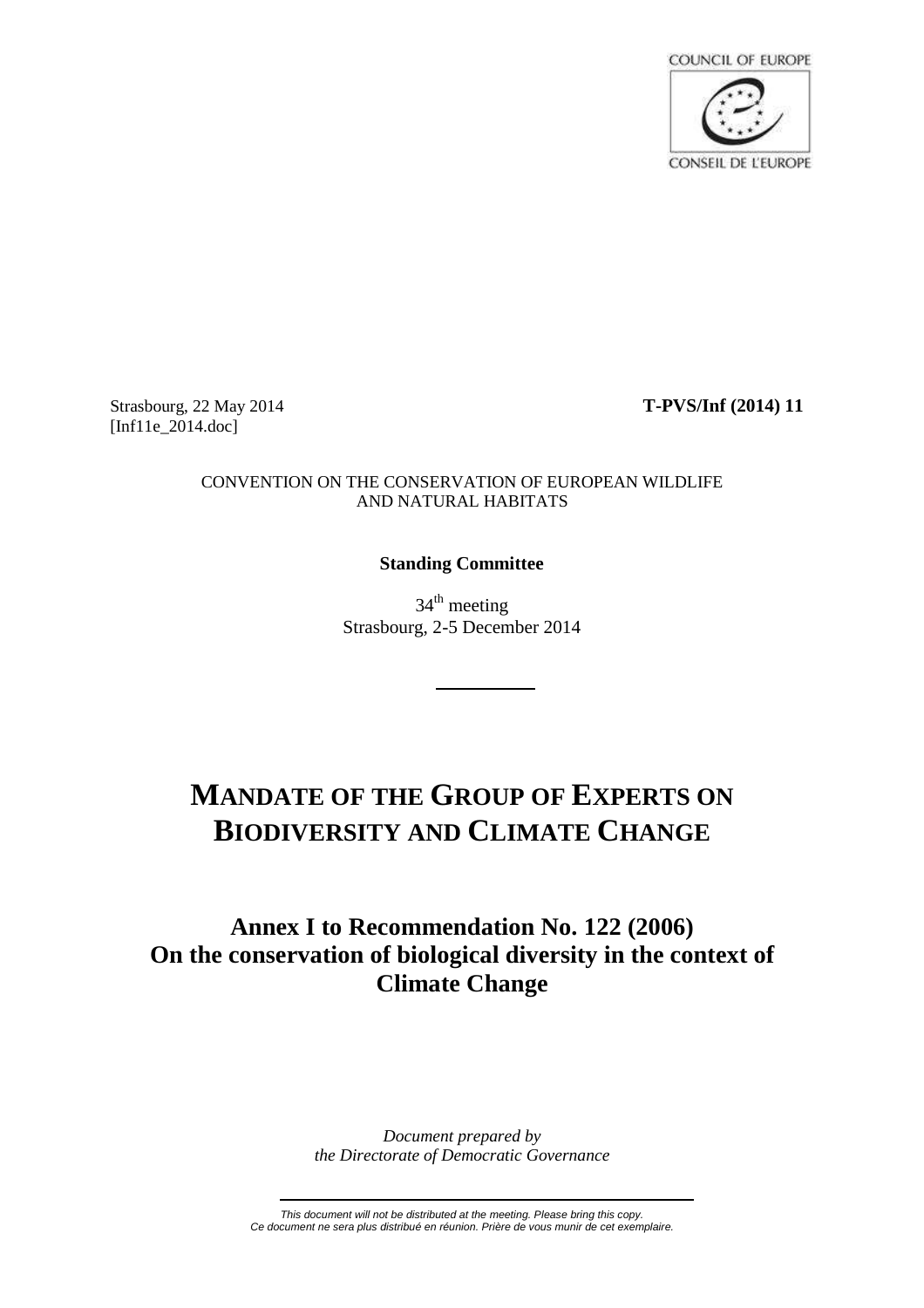

Strasbourg, 22 May 2014 **T-PVS/Inf (2014) 11**  [Inf11e 2014.doc]

#### CONVENTION ON THE CONSERVATION OF EUROPEAN WILDLIFE AND NATURAL HABITATS

### **Standing Committee**

 $34<sup>th</sup>$  meeting Strasbourg, 2-5 December 2014

# **MANDATE OF THE GROUP OF EXPERTS ON BIODIVERSITY AND CLIMATE CHANGE**

## **Annex I to Recommendation No. 122 (2006) On the conservation of biological diversity in the context of Climate Change**

*Document prepared by the Directorate of Democratic Governance* 

This document will not be distributed at the meeting. Please bring this copy. Ce document ne sera plus distribué en réunion. Prière de vous munir de cet exemplaire.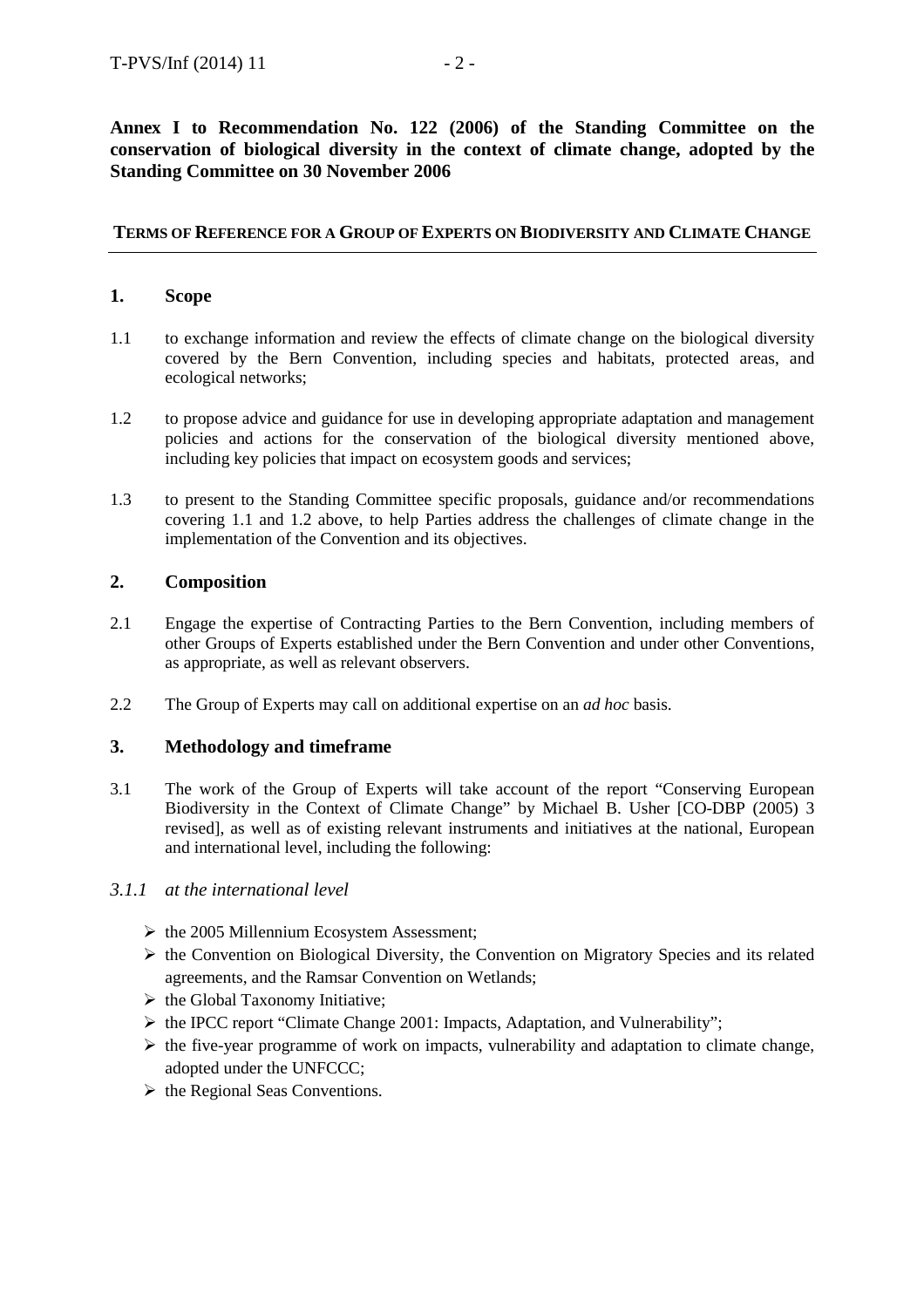**Annex I to Recommendation No. 122 (2006) of the Standing Committee on the conservation of biological diversity in the context of climate change, adopted by the Standing Committee on 30 November 2006** 

#### **TERMS OF REFERENCE FOR A GROUP OF EXPERTS ON BIODIVERSITY AND CLIMATE CHANGE**

#### **1. Scope**

- 1.1 to exchange information and review the effects of climate change on the biological diversity covered by the Bern Convention, including species and habitats, protected areas, and ecological networks;
- 1.2 to propose advice and guidance for use in developing appropriate adaptation and management policies and actions for the conservation of the biological diversity mentioned above, including key policies that impact on ecosystem goods and services;
- 1.3 to present to the Standing Committee specific proposals, guidance and/or recommendations covering 1.1 and 1.2 above, to help Parties address the challenges of climate change in the implementation of the Convention and its objectives.

#### **2. Composition**

- 2.1 Engage the expertise of Contracting Parties to the Bern Convention, including members of other Groups of Experts established under the Bern Convention and under other Conventions, as appropriate, as well as relevant observers.
- 2.2 The Group of Experts may call on additional expertise on an *ad hoc* basis.

#### **3. Methodology and timeframe**

3.1 The work of the Group of Experts will take account of the report "Conserving European Biodiversity in the Context of Climate Change" by Michael B. Usher [CO-DBP (2005) 3 revised], as well as of existing relevant instruments and initiatives at the national, European and international level, including the following:

#### *3.1.1 at the international level*

- $\triangleright$  the 2005 Millennium Ecosystem Assessment:
- $\triangleright$  the Convention on Biological Diversity, the Convention on Migratory Species and its related agreements, and the Ramsar Convention on Wetlands;
- $\triangleright$  the Global Taxonomy Initiative;
- $\triangleright$  the IPCC report "Climate Change 2001: Impacts, Adaptation, and Vulnerability";
- $\triangleright$  the five-year programme of work on impacts, vulnerability and adaptation to climate change, adopted under the UNFCCC;
- $\triangleright$  the Regional Seas Conventions.